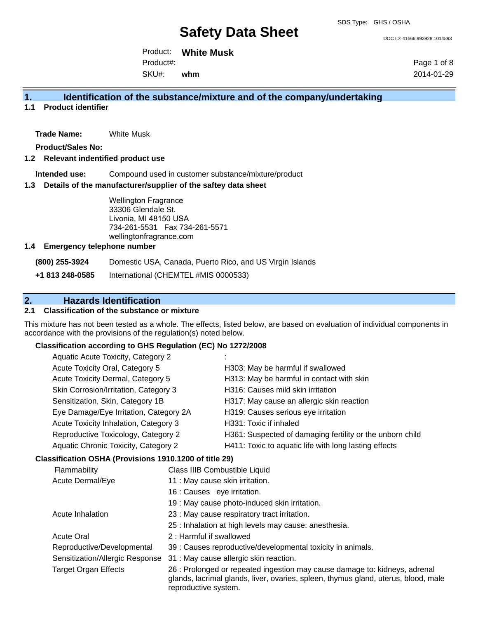DOC ID: 41666.993928.1014893

Product: **White Musk** Product#:

SKU#: **whm** Page 1 of 8 2014-01-29

### **1. Identification of the substance/mixture and of the company/undertaking**

**1.1 Product identifier**

**Trade Name:** White Musk

**Product/Sales No:**

#### **1.2 Relevant indentified product use**

**Intended use:** Compound used in customer substance/mixture/product

#### **1.3 Details of the manufacturer/supplier of the saftey data sheet**

Wellington Fragrance 33306 Glendale St. Livonia, MI 48150 USA 734-261-5531 Fax 734-261-5571 wellingtonfragrance.com

#### **1.4 Emergency telephone number**

**(800) 255-3924** Domestic USA, Canada, Puerto Rico, and US Virgin Islands

**+1 813 248-0585** International (CHEMTEL #MIS 0000533)

# **2. Hazards Identification**

### **2.1 Classification of the substance or mixture**

This mixture has not been tested as a whole. The effects, listed below, are based on evaluation of individual components in accordance with the provisions of the regulation(s) noted below.

#### **Classification according to GHS Regulation (EC) No 1272/2008**

| Aquatic Acute Toxicity, Category 2                  |                                                           |
|-----------------------------------------------------|-----------------------------------------------------------|
| Acute Toxicity Oral, Category 5                     | H303: May be harmful if swallowed                         |
| Acute Toxicity Dermal, Category 5                   | H313: May be harmful in contact with skin                 |
| Skin Corrosion/Irritation, Category 3               | H316: Causes mild skin irritation                         |
| Sensitization, Skin, Category 1B                    | H317: May cause an allergic skin reaction                 |
| Eye Damage/Eye Irritation, Category 2A              | H319: Causes serious eye irritation                       |
| Acute Toxicity Inhalation, Category 3               | H331: Toxic if inhaled                                    |
| Reproductive Toxicology, Category 2                 | H361: Suspected of damaging fertility or the unborn child |
| Aquatic Chronic Toxicity, Category 2                | H411: Toxic to aquatic life with long lasting effects     |
| ssification OSHA (Provisions 1910 1200 of title 29) |                                                           |

#### **Classification OSHA (Provisions 1910.1200 of title 29)** Flammability Class IIIB Combustible Liquid

| <b>Flammability</b>             | Class IIIB Compustible Liquid                                                                                                                                                            |
|---------------------------------|------------------------------------------------------------------------------------------------------------------------------------------------------------------------------------------|
| Acute Dermal/Eye                | 11 : May cause skin irritation.                                                                                                                                                          |
|                                 | 16 : Causes eye irritation.                                                                                                                                                              |
|                                 | 19 : May cause photo-induced skin irritation.                                                                                                                                            |
| Acute Inhalation                | 23 : May cause respiratory tract irritation.                                                                                                                                             |
|                                 | 25 : Inhalation at high levels may cause: anesthesia.                                                                                                                                    |
| <b>Acute Oral</b>               | 2 : Harmful if swallowed                                                                                                                                                                 |
| Reproductive/Developmental      | 39 : Causes reproductive/developmental toxicity in animals.                                                                                                                              |
| Sensitization/Allergic Response | 31 : May cause allergic skin reaction.                                                                                                                                                   |
| <b>Target Organ Effects</b>     | 26 : Prolonged or repeated ingestion may cause damage to: kidneys, adrenal<br>glands, lacrimal glands, liver, ovaries, spleen, thymus gland, uterus, blood, male<br>reproductive system. |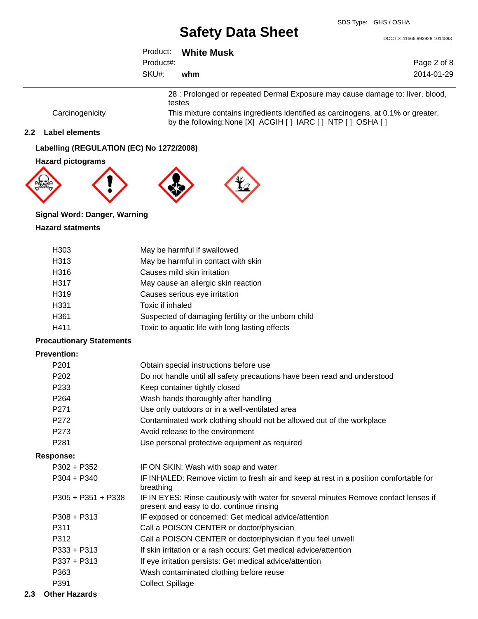DOC ID: 41666.993928.1014893

|     | Page 2 of 8                      |
|-----|----------------------------------|
| whm | 2014-01-29                       |
|     | Product: White Musk<br>Product#: |

28 : Prolonged or repeated Dermal Exposure may cause damage to: liver, blood, testes

Carcinogenicity This mixture contains ingredients identified as carcinogens, at 0.1% or greater, by the following:None [X] ACGIH [ ] IARC [ ] NTP [ ] OSHA [ ]

### **2.2 Label elements**

**Labelling (REGULATION (EC) No 1272/2008)**

#### **Hazard pictograms**





## **Signal Word: Danger, Warning**

#### **Hazard statments**

| H <sub>303</sub> | May be harmful if swallowed                         |
|------------------|-----------------------------------------------------|
| H313             | May be harmful in contact with skin                 |
| H316             | Causes mild skin irritation                         |
| H317             | May cause an allergic skin reaction                 |
| H319             | Causes serious eye irritation                       |
| H331             | Toxic if inhaled                                    |
| H <sub>361</sub> | Suspected of damaging fertility or the unborn child |
| H411             | Toxic to aquatic life with long lasting effects     |

#### **Precautionary Statements**

### **Prevention:**

| P <sub>201</sub>     | Obtain special instructions before use                                                                                           |
|----------------------|----------------------------------------------------------------------------------------------------------------------------------|
| P <sub>202</sub>     | Do not handle until all safety precautions have been read and understood                                                         |
| P <sub>233</sub>     | Keep container tightly closed                                                                                                    |
| P <sub>264</sub>     | Wash hands thoroughly after handling                                                                                             |
| P271                 | Use only outdoors or in a well-ventilated area                                                                                   |
| P272                 | Contaminated work clothing should not be allowed out of the workplace                                                            |
| P273                 | Avoid release to the environment                                                                                                 |
| P <sub>281</sub>     | Use personal protective equipment as required                                                                                    |
| Response:            |                                                                                                                                  |
| $P302 + P352$        | IF ON SKIN: Wash with soap and water                                                                                             |
| $P304 + P340$        | IF INHALED: Remove victim to fresh air and keep at rest in a position comfortable for<br>breathing                               |
| $P305 + P351 + P338$ | IF IN EYES: Rinse cautiously with water for several minutes Remove contact lenses if<br>present and easy to do. continue rinsing |
| $P308 + P313$        | IF exposed or concerned: Get medical advice/attention                                                                            |
| P311                 | Call a POISON CENTER or doctor/physician                                                                                         |
| P312                 | Call a POISON CENTER or doctor/physician if you feel unwell                                                                      |
| $P333 + P313$        | If skin irritation or a rash occurs: Get medical advice/attention                                                                |
| $P337 + P313$        | If eye irritation persists: Get medical advice/attention                                                                         |
| P363                 | Wash contaminated clothing before reuse                                                                                          |
| P391                 | <b>Collect Spillage</b>                                                                                                          |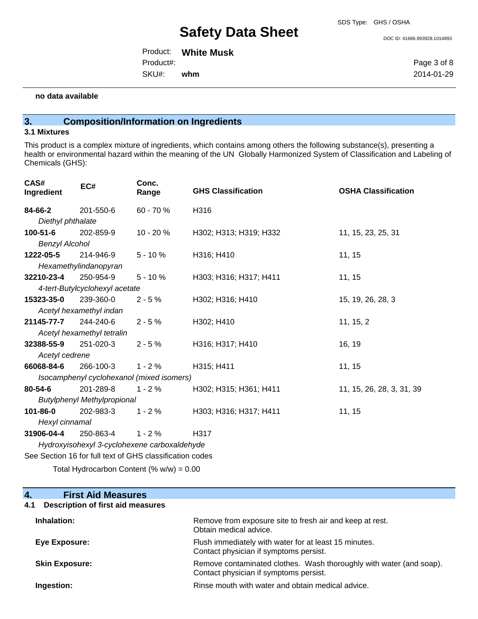DOC ID: 41666.993928.1014893

Product: **White Musk** Product#:

SKU#: **whm**

**no data available**

## **3. Composition/Information on Ingredients**

#### **3.1 Mixtures**

This product is a complex mixture of ingredients, which contains among others the following substance(s), presenting a health or environmental hazard within the meaning of the UN Globally Harmonized System of Classification and Labeling of Chemicals (GHS):

| CAS#<br>Ingredient                           | EC#                                       | Conc.<br>Range | <b>GHS Classification</b> | <b>OSHA Classification</b> |
|----------------------------------------------|-------------------------------------------|----------------|---------------------------|----------------------------|
| 84-66-2                                      | 201-550-6                                 | 60 - 70 %      | H316                      |                            |
| Diethyl phthalate                            |                                           |                |                           |                            |
| $100 - 51 - 6$                               | 202-859-9                                 | $10 - 20%$     | H302; H313; H319; H332    | 11, 15, 23, 25, 31         |
| <b>Benzyl Alcohol</b>                        |                                           |                |                           |                            |
| 1222-05-5                                    | 214-946-9                                 | $5 - 10 \%$    | H316; H410                | 11, 15                     |
|                                              | Hexamethylindanopyran                     |                |                           |                            |
| 32210-23-4                                   | 250-954-9                                 | $5 - 10%$      | H303; H316; H317; H411    | 11, 15                     |
|                                              | 4-tert-Butylcyclohexyl acetate            |                |                           |                            |
| 15323-35-0                                   | 239-360-0                                 | $2 - 5%$       | H302; H316; H410          | 15, 19, 26, 28, 3          |
|                                              | Acetyl hexamethyl indan                   |                |                           |                            |
| 21145-77-7                                   | 244-240-6                                 | $2 - 5%$       | H302; H410                | 11, 15, 2                  |
|                                              | Acetyl hexamethyl tetralin                |                |                           |                            |
| 32388-55-9                                   | 251-020-3                                 | $2 - 5%$       | H316; H317; H410          | 16, 19                     |
|                                              | Acetyl cedrene                            |                |                           |                            |
| 66068-84-6                                   | 266-100-3                                 | $1 - 2%$       | H315; H411                | 11, 15                     |
|                                              | Isocamphenyl cyclohexanol (mixed isomers) |                |                           |                            |
| $80 - 54 - 6$                                | 201-289-8                                 | $1 - 2%$       | H302; H315; H361; H411    | 11, 15, 26, 28, 3, 31, 39  |
| <b>Butylphenyl Methylpropional</b>           |                                           |                |                           |                            |
| 101-86-0                                     | 202-983-3                                 | $1 - 2%$       | H303; H316; H317; H411    | 11, 15                     |
| Hexyl cinnamal                               |                                           |                |                           |                            |
| 31906-04-4                                   | 250-863-4                                 | $1 - 2%$       | H317                      |                            |
| Hydroxyisohexyl 3-cyclohexene carboxaldehyde |                                           |                |                           |                            |

See Section 16 for full text of GHS classification codes

Total Hydrocarbon Content  $% w = 0.00$ 

# **4. First Aid Measures**

## **4.1 Description of first aid measures**

| Inhalation:           | Remove from exposure site to fresh air and keep at rest.<br>Obtain medical advice.                            |
|-----------------------|---------------------------------------------------------------------------------------------------------------|
| Eye Exposure:         | Flush immediately with water for at least 15 minutes.<br>Contact physician if symptoms persist.               |
| <b>Skin Exposure:</b> | Remove contaminated clothes. Wash thoroughly with water (and soap).<br>Contact physician if symptoms persist. |
| Ingestion:            | Rinse mouth with water and obtain medical advice.                                                             |

Page 3 of 8 2014-01-29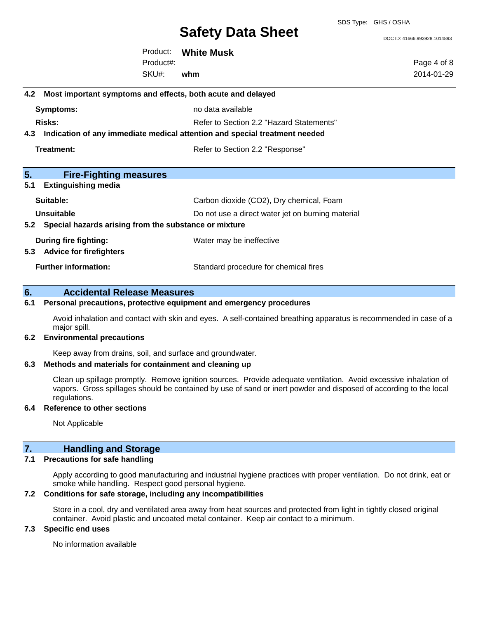SDS Type: GHS / OSHA

DOC ID: 41666.993928.1014893

Product: **White Musk** Product#:

SKU#: **whm** Page 4 of 8 2014-01-29

|     | 4.2 Most important symptoms and effects, both acute and delayed            |                                                   |
|-----|----------------------------------------------------------------------------|---------------------------------------------------|
|     | <b>Symptoms:</b>                                                           | no data available                                 |
|     | <b>Risks:</b>                                                              | Refer to Section 2.2 "Hazard Statements"          |
| 4.3 | Indication of any immediate medical attention and special treatment needed |                                                   |
|     | Treatment:                                                                 | Refer to Section 2.2 "Response"                   |
| 5.  | <b>Fire-Fighting measures</b>                                              |                                                   |
| 5.1 | <b>Extinguishing media</b>                                                 |                                                   |
|     | Suitable:                                                                  | Carbon dioxide (CO2), Dry chemical, Foam          |
|     | <b>Unsuitable</b>                                                          | Do not use a direct water jet on burning material |
|     | 5.2 Special hazards arising from the substance or mixture                  |                                                   |
|     | During fire fighting:<br>5.3 Advice for firefighters                       | Water may be ineffective                          |
|     | <b>Further information:</b>                                                | Standard procedure for chemical fires             |
|     |                                                                            |                                                   |

## **6. Accidental Release Measures**

#### **6.1 Personal precautions, protective equipment and emergency procedures**

Avoid inhalation and contact with skin and eyes. A self-contained breathing apparatus is recommended in case of a major spill.

#### **6.2 Environmental precautions**

Keep away from drains, soil, and surface and groundwater.

#### **6.3 Methods and materials for containment and cleaning up**

Clean up spillage promptly. Remove ignition sources. Provide adequate ventilation. Avoid excessive inhalation of vapors. Gross spillages should be contained by use of sand or inert powder and disposed of according to the local regulations.

#### **6.4 Reference to other sections**

Not Applicable

## **7. Handling and Storage**

#### **7.1 Precautions for safe handling**

Apply according to good manufacturing and industrial hygiene practices with proper ventilation. Do not drink, eat or smoke while handling. Respect good personal hygiene.

### **7.2 Conditions for safe storage, including any incompatibilities**

Store in a cool, dry and ventilated area away from heat sources and protected from light in tightly closed original container. Avoid plastic and uncoated metal container. Keep air contact to a minimum.

#### **7.3 Specific end uses**

No information available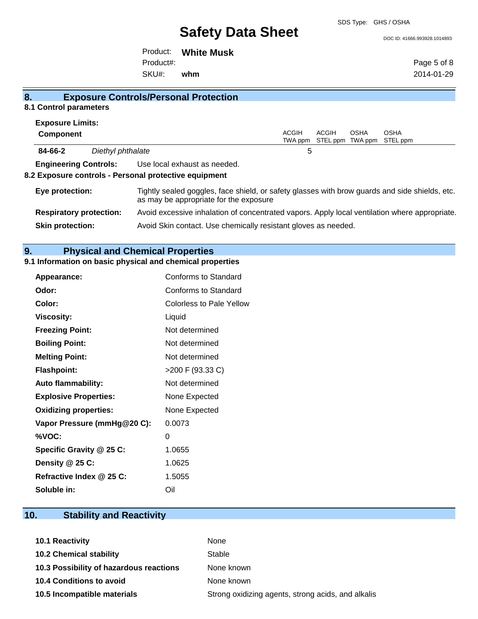#### DOC ID: 41666.993928.1014893

Product: **White Musk** Product#:

SKU#: **whm** Page 5 of 8 2014-01-29

| 8. | <b>Exposure Controls/Personal Protection</b> |                                                                                                                                          |  |
|----|----------------------------------------------|------------------------------------------------------------------------------------------------------------------------------------------|--|
|    | 8.1 Control parameters                       |                                                                                                                                          |  |
|    | <b>Exposure Limits:</b>                      |                                                                                                                                          |  |
|    | <b>Component</b>                             | ACGIH<br>ACGIH<br><b>OSHA</b><br>OSHA<br>TWA ppm<br>STEL ppm TWA ppm<br>STEL ppm                                                         |  |
|    | 84-66-2<br>Diethyl phthalate                 | 5                                                                                                                                        |  |
|    | <b>Engineering Controls:</b>                 | Use local exhaust as needed.                                                                                                             |  |
|    |                                              | 8.2 Exposure controls - Personal protective equipment                                                                                    |  |
|    | Eye protection:                              | Tightly sealed goggles, face shield, or safety glasses with brow guards and side shields, etc.<br>as may be appropriate for the exposure |  |
|    | <b>Respiratory protection:</b>               | Avoid excessive inhalation of concentrated vapors. Apply local ventilation where appropriate.                                            |  |
|    | <b>Skin protection:</b>                      | Avoid Skin contact. Use chemically resistant gloves as needed.                                                                           |  |
|    |                                              |                                                                                                                                          |  |

# **9. Physical and Chemical Properties**

## **9.1 Information on basic physical and chemical properties**

| Appearance:                  | Conforms to Standard            |
|------------------------------|---------------------------------|
| Odor:                        | Conforms to Standard            |
| Color:                       | <b>Colorless to Pale Yellow</b> |
| <b>Viscosity:</b>            | Liquid                          |
| <b>Freezing Point:</b>       | Not determined                  |
| <b>Boiling Point:</b>        | Not determined                  |
| <b>Melting Point:</b>        | Not determined                  |
| <b>Flashpoint:</b>           | $>$ 200 F (93.33 C)             |
| <b>Auto flammability:</b>    | Not determined                  |
| <b>Explosive Properties:</b> | None Expected                   |
| <b>Oxidizing properties:</b> | None Expected                   |
| Vapor Pressure (mmHg@20 C):  | 0.0073                          |
| %VOC:                        | 0                               |
| Specific Gravity @ 25 C:     | 1.0655                          |
| Density @ 25 C:              | 1.0625                          |
| Refractive Index @ 25 C:     | 1.5055                          |
| Soluble in:                  | Oil                             |

# **10. Stability and Reactivity**

| <b>10.1 Reactivity</b>                  | None                                               |
|-----------------------------------------|----------------------------------------------------|
| <b>10.2 Chemical stability</b>          | Stable                                             |
| 10.3 Possibility of hazardous reactions | None known                                         |
| <b>10.4 Conditions to avoid</b>         | None known                                         |
| 10.5 Incompatible materials             | Strong oxidizing agents, strong acids, and alkalis |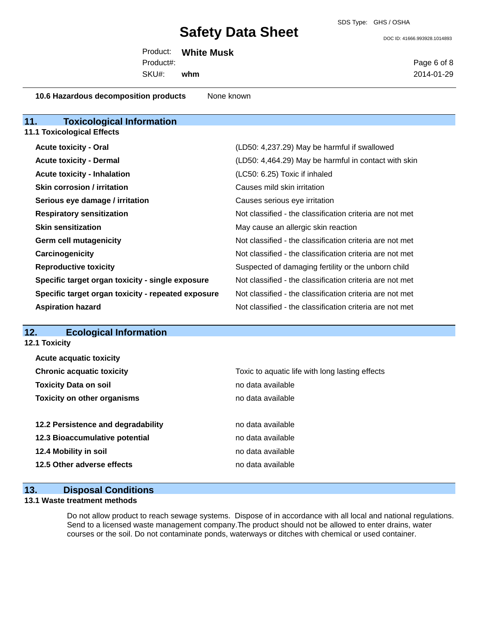SDS Type: GHS / OSHA

DOC ID: 41666.993928.1014893

Product: **White Musk** SKU#: Product#: **whm**

Page 6 of 8 2014-01-29

**10.6 Hazardous decomposition products** None known

| 11.<br><b>Toxicological Information</b>            |                                                          |
|----------------------------------------------------|----------------------------------------------------------|
| <b>11.1 Toxicological Effects</b>                  |                                                          |
| <b>Acute toxicity - Oral</b>                       | (LD50: 4,237.29) May be harmful if swallowed             |
| <b>Acute toxicity - Dermal</b>                     | (LD50: 4,464.29) May be harmful in contact with skin     |
| <b>Acute toxicity - Inhalation</b>                 | (LC50: 6.25) Toxic if inhaled                            |
| <b>Skin corrosion / irritation</b>                 | Causes mild skin irritation                              |
| Serious eye damage / irritation                    | Causes serious eye irritation                            |
| <b>Respiratory sensitization</b>                   | Not classified - the classification criteria are not met |
| <b>Skin sensitization</b>                          | May cause an allergic skin reaction                      |
| Germ cell mutagenicity                             | Not classified - the classification criteria are not met |
| Carcinogenicity                                    | Not classified - the classification criteria are not met |
| <b>Reproductive toxicity</b>                       | Suspected of damaging fertility or the unborn child      |
| Specific target organ toxicity - single exposure   | Not classified - the classification criteria are not met |
| Specific target organ toxicity - repeated exposure | Not classified - the classification criteria are not met |
| <b>Aspiration hazard</b>                           | Not classified - the classification criteria are not met |

## **12. Ecological Information**

**12.1 Toxicity**

| <b>Acute acquatic toxicity</b>     |                                                 |
|------------------------------------|-------------------------------------------------|
| <b>Chronic acquatic toxicity</b>   | Toxic to aquatic life with long lasting effects |
| <b>Toxicity Data on soil</b>       | no data available                               |
| <b>Toxicity on other organisms</b> | no data available                               |
|                                    |                                                 |
| 12.2 Persistence and degradability | no data available                               |
| 12.3 Bioaccumulative potential     | no data available                               |
| 12.4 Mobility in soil              | no data available                               |
| 12.5 Other adverse effects         | no data available                               |
|                                    |                                                 |

# **13. Disposal Conditions**

### **13.1 Waste treatment methods**

Do not allow product to reach sewage systems. Dispose of in accordance with all local and national regulations. Send to a licensed waste management company.The product should not be allowed to enter drains, water courses or the soil. Do not contaminate ponds, waterways or ditches with chemical or used container.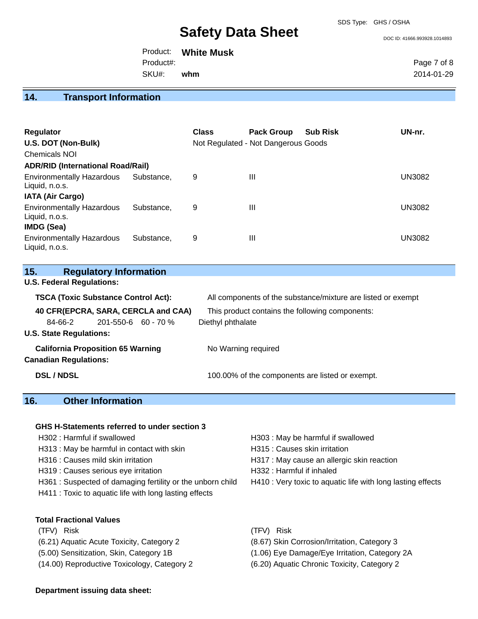SDS Type: GHS / OSHA

#### DOC ID: 41666.993928.1014893

Product: **White Musk** SKU#: Product#: **whm**

Page 7 of 8 2014-01-29

## **14. Transport Information**

| <b>Regulator</b><br>U.S. DOT (Non-Bulk)<br><b>Chemicals NOI</b><br><b>ADR/RID (International Road/Rail)</b> |            | <b>Class</b> | <b>Pack Group</b><br>Not Regulated - Not Dangerous Goods | <b>Sub Risk</b> | UN-nr.        |
|-------------------------------------------------------------------------------------------------------------|------------|--------------|----------------------------------------------------------|-----------------|---------------|
| <b>Environmentally Hazardous</b><br>Liquid, n.o.s.<br><b>IATA (Air Cargo)</b>                               | Substance. | 9            | Ш                                                        |                 | <b>UN3082</b> |
| <b>Environmentally Hazardous</b><br>Liquid, n.o.s.<br><b>IMDG (Sea)</b>                                     | Substance. | 9            | Ш                                                        |                 | <b>UN3082</b> |
| <b>Environmentally Hazardous</b><br>Liquid, n.o.s.                                                          | Substance. | 9            | Ш                                                        |                 | <b>UN3082</b> |

| 15.<br><b>Regulatory Information</b> |  |
|--------------------------------------|--|
|--------------------------------------|--|

**U.S. Federal Regulations:**

| <b>TSCA (Toxic Substance Control Act):</b> |                                          | All components of the substance/mixture are listed or exempt |  |  |
|--------------------------------------------|------------------------------------------|--------------------------------------------------------------|--|--|
|                                            | 40 CFR(EPCRA, SARA, CERCLA and CAA)      | This product contains the following components:              |  |  |
| 84-66-2                                    | $201 - 550 - 6$ 60 - 70 %                | Diethyl phthalate                                            |  |  |
| <b>U.S. State Regulations:</b>             |                                          |                                                              |  |  |
|                                            | <b>California Proposition 65 Warning</b> | No Warning required                                          |  |  |
| <b>Canadian Regulations:</b>               |                                          |                                                              |  |  |
| <b>DSL / NDSL</b>                          |                                          | 100.00% of the components are listed or exempt.              |  |  |

# **16. Other Information**

#### **GHS H-Statements referred to under section 3**

- H302 : Harmful if swallowed H303 : May be harmful if swallowed
- H313 : May be harmful in contact with skin H315 : Causes skin irritation
- H316 : Causes mild skin irritation **H317** : May cause an allergic skin reaction
- H319 : Causes serious eye irritation H332 : Harmful if inhaled
- H361 : Suspected of damaging fertility or the unborn child H410 : Very toxic to aquatic life with long lasting effects
- H411 : Toxic to aquatic life with long lasting effects
- 
- 
- 
- 
- 

- **Total Fractional Values**
- (TFV) Risk (TFV) Risk
- 
- 
- (14.00) Reproductive Toxicology, Category 2 (6.20) Aquatic Chronic Toxicity, Category 2
- 
- (6.21) Aquatic Acute Toxicity, Category 2 (8.67) Skin Corrosion/Irritation, Category 3
- (5.00) Sensitization, Skin, Category 1B (1.06) Eye Damage/Eye Irritation, Category 2A
	-

#### **Department issuing data sheet:**